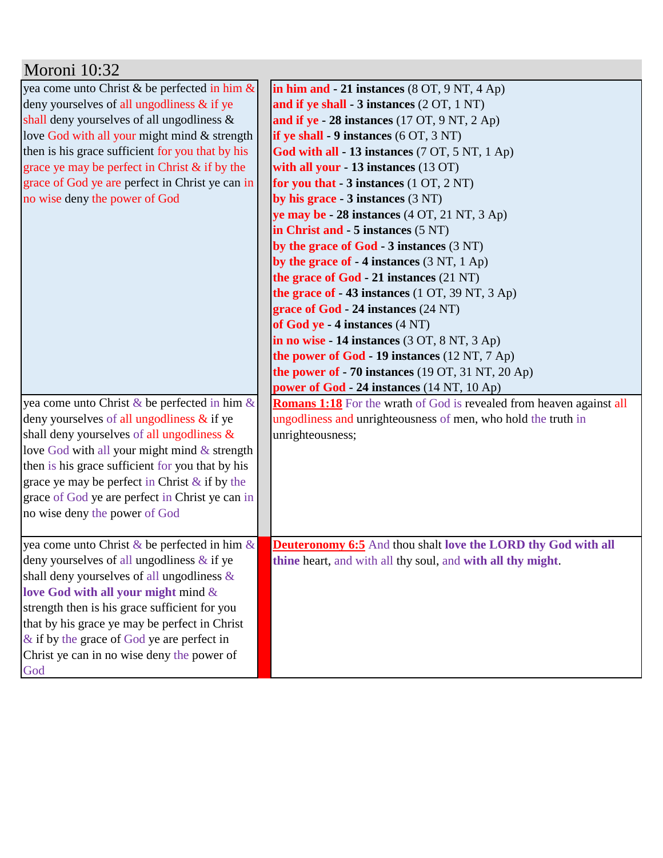| Moroni 10:32                                     |                                                                             |
|--------------------------------------------------|-----------------------------------------------------------------------------|
| yea come unto Christ & be perfected in him &     | in him and $-21$ instances (8 OT, 9 NT, 4 Ap)                               |
| deny yourselves of all ungodliness $\&$ if ye    | and if ye shall - 3 instances (2 OT, 1 NT)                                  |
| shall deny yourselves of all ungodliness $\&$    | and if ye - 28 instances $(17 \text{ OT}, 9 \text{ NT}, 2 \text{ Ap})$      |
| love God with all your might mind & strength     | if ye shall $-9$ instances $(6 OT, 3 NT)$                                   |
| then is his grace sufficient for you that by his | God with all - 13 instances (7 OT, 5 NT, 1 Ap)                              |
| grace ye may be perfect in Christ $\&$ if by the | with all your - 13 instances $(13 \text{ OT})$                              |
| grace of God ye are perfect in Christ ye can in  | for you that $-3$ instances $(1 OT, 2 NT)$                                  |
| no wise deny the power of God                    | by his grace - 3 instances (3 NT)                                           |
|                                                  | ye may be $-28$ instances $(4 OT, 21 NT, 3 Ap)$                             |
|                                                  | in Christ and - 5 instances (5 NT)                                          |
|                                                  | by the grace of $God - 3$ instances $(3 NT)$                                |
|                                                  | by the grace of $-4$ instances (3 NT, 1 Ap)                                 |
|                                                  | the grace of God - 21 instances (21 NT)                                     |
|                                                  | the grace of $-43$ instances (1 OT, 39 NT, 3 Ap)                            |
|                                                  | grace of God - 24 instances (24 NT)                                         |
|                                                  | of God ye - 4 instances (4 NT)                                              |
|                                                  | in no wise - 14 instances (3 OT, 8 NT, 3 Ap)                                |
|                                                  | the power of God - 19 instances $(12 \text{ NT}, 7 \text{ Ap})$             |
|                                                  | the power of $-70$ instances (19 OT, 31 NT, 20 Ap)                          |
|                                                  | power of God - 24 instances (14 NT, 10 Ap)                                  |
| yea come unto Christ & be perfected in him &     | <b>Romans 1:18</b> For the wrath of God is revealed from heaven against all |
| deny yourselves of all ungodliness $\&$ if ye    | ungodliness and unrighteousness of men, who hold the truth in               |
| shall deny yourselves of all ungodliness $\&$    | unrighteousness;                                                            |
| love God with all your might mind & strength     |                                                                             |
| then is his grace sufficient for you that by his |                                                                             |
| grace ye may be perfect in Christ $\&$ if by the |                                                                             |
| grace of God ye are perfect in Christ ye can in  |                                                                             |
| no wise deny the power of God                    |                                                                             |
|                                                  |                                                                             |
| yea come unto Christ & be perfected in him $\&$  | <b>Deuteronomy 6:5</b> And thou shalt love the LORD thy God with all        |
| deny yourselves of all ungodliness $\&$ if ye    | thine heart, and with all thy soul, and with all thy might.                 |
| shall deny yourselves of all ungodliness &       |                                                                             |
| love God with all your might mind &              |                                                                             |
| strength then is his grace sufficient for you    |                                                                             |
| that by his grace ye may be perfect in Christ    |                                                                             |
| $\&$ if by the grace of God ye are perfect in    |                                                                             |
| Christ ye can in no wise deny the power of       |                                                                             |
| God                                              |                                                                             |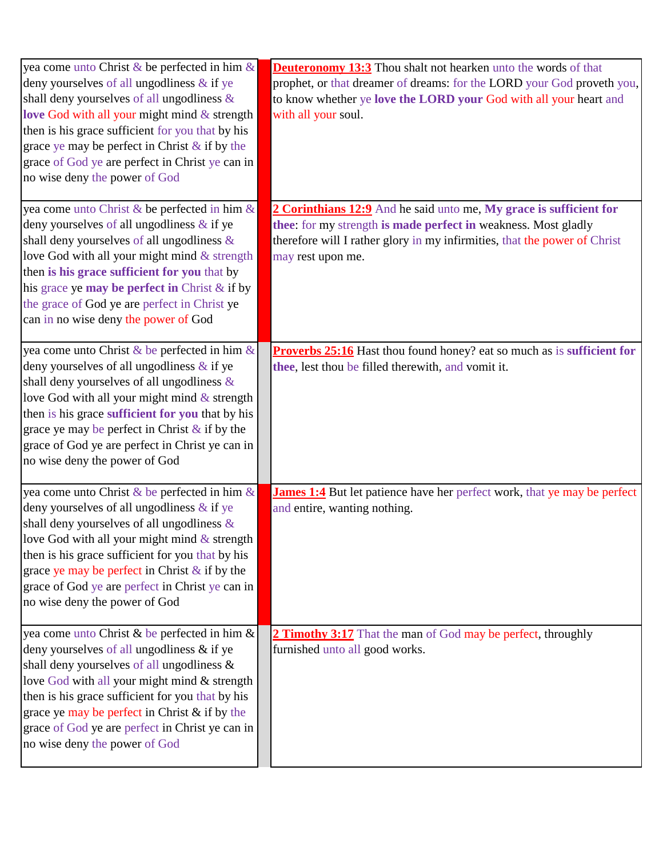| yea come unto Christ & be perfected in him &<br>deny yourselves of all ungodliness & if ye<br>shall deny yourselves of all ungodliness &<br>love God with all your might mind & strength<br>then is his grace sufficient for you that by his<br>grace ye may be perfect in Christ $\&$ if by the<br>grace of God ye are perfect in Christ ye can in<br>no wise deny the power of God         | <b>Deuteronomy 13:3</b> Thou shalt not hearken unto the words of that<br>prophet, or that dreamer of dreams: for the LORD your God proveth you,<br>to know whether ye love the LORD your God with all your heart and<br>with all your soul. |
|----------------------------------------------------------------------------------------------------------------------------------------------------------------------------------------------------------------------------------------------------------------------------------------------------------------------------------------------------------------------------------------------|---------------------------------------------------------------------------------------------------------------------------------------------------------------------------------------------------------------------------------------------|
| yea come unto Christ & be perfected in him &<br>deny yourselves of all ungodliness $\&$ if ye<br>shall deny yourselves of all ungodliness &<br>love God with all your might mind & strength<br>then is his grace sufficient for you that by<br>his grace ye may be perfect in Christ & if by<br>the grace of God ye are perfect in Christ ye<br>can in no wise deny the power of God         | 2 Corinthians 12:9 And he said unto me, My grace is sufficient for<br>thee: for my strength is made perfect in weakness. Most gladly<br>therefore will I rather glory in my infirmities, that the power of Christ<br>may rest upon me.      |
| yea come unto Christ & be perfected in him $\&$<br>deny yourselves of all ungodliness $\&$ if ye<br>shall deny yourselves of all ungodliness &<br>love God with all your might mind & strength<br>then is his grace sufficient for you that by his<br>grace ye may be perfect in Christ $\&$ if by the<br>grace of God ye are perfect in Christ ye can in<br>no wise deny the power of God   | <b>Proverbs 25:16</b> Hast thou found honey? eat so much as is sufficient for<br>thee, lest thou be filled therewith, and vomit it.                                                                                                         |
| yea come unto Christ & be perfected in him $\&$<br>deny yourselves of all ungodliness $\&$ if ye<br>shall deny yourselves of all ungodliness $\&$<br>love God with all your might mind $&$ strength<br>then is his grace sufficient for you that by his<br>grace ye may be perfect in Christ & if by the<br>grace of God ye are perfect in Christ ye can in<br>no wise deny the power of God | James 1:4 But let patience have her perfect work, that ye may be perfect<br>and entire, wanting nothing.                                                                                                                                    |
| yea come unto Christ & be perfected in him &<br>deny yourselves of all ungodliness $\&$ if ye<br>shall deny yourselves of all ungodliness &<br>love God with all your might mind & strength<br>then is his grace sufficient for you that by his<br>grace ye may be perfect in Christ $\&$ if by the<br>grace of God ye are perfect in Christ ye can in<br>no wise deny the power of God      | 2 Timothy 3:17 That the man of God may be perfect, throughly<br>furnished unto all good works.                                                                                                                                              |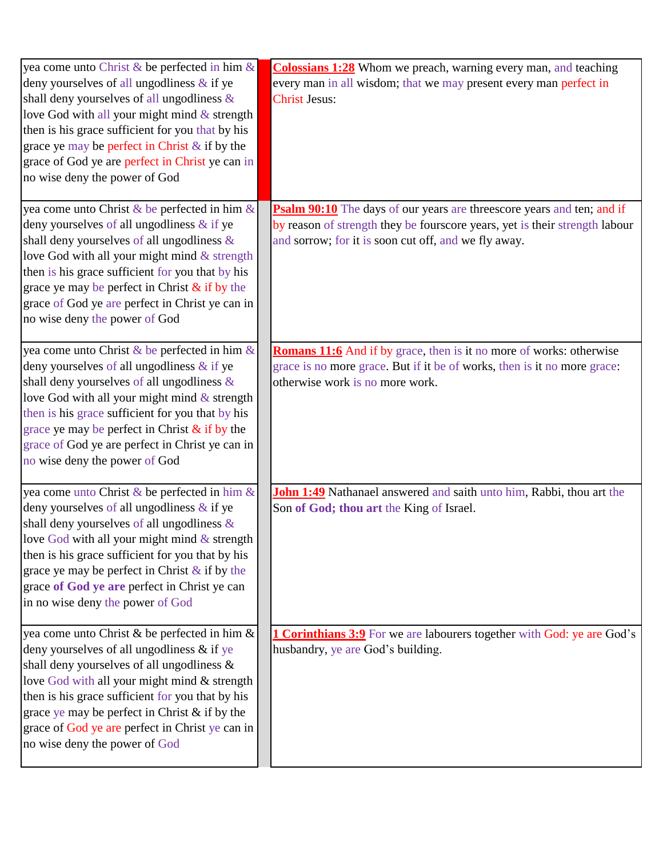| yea come unto Christ & be perfected in him &<br>deny yourselves of all ungodliness $\&$ if ye<br>shall deny yourselves of all ungodliness &<br>love God with all your might mind $&$ strength<br>then is his grace sufficient for you that by his<br>grace ye may be perfect in Christ & if by the<br>grace of God ye are perfect in Christ ye can in<br>no wise deny the power of God    | <b>Colossians 1:28</b> Whom we preach, warning every man, and teaching<br>every man in all wisdom; that we may present every man perfect in<br><b>Christ Jesus:</b>                                                  |
|-------------------------------------------------------------------------------------------------------------------------------------------------------------------------------------------------------------------------------------------------------------------------------------------------------------------------------------------------------------------------------------------|----------------------------------------------------------------------------------------------------------------------------------------------------------------------------------------------------------------------|
| yea come unto Christ & be perfected in him &<br>deny yourselves of all ungodliness $\&$ if ye<br>shall deny yourselves of all ungodliness &<br>love God with all your might mind & strength<br>then is his grace sufficient for you that by his<br>grace ye may be perfect in Christ $\&$ if by the<br>grace of God ye are perfect in Christ ye can in<br>no wise deny the power of God   | <b>Psalm 90:10</b> The days of our years are threescore years and ten; and if<br>by reason of strength they be fourscore years, yet is their strength labour<br>and sorrow; for it is soon cut off, and we fly away. |
| yea come unto Christ & be perfected in him &<br>deny yourselves of all ungodliness & if ye<br>shall deny yourselves of all ungodliness &<br>love God with all your might mind & strength<br>then is his grace sufficient for you that by his<br>grace ye may be perfect in Christ $\&$ if by the<br>grace of God ye are perfect in Christ ye can in<br>no wise deny the power of God      | Romans 11:6 And if by grace, then is it no more of works: otherwise<br>grace is no more grace. But if it be of works, then is it no more grace:<br>otherwise work is no more work.                                   |
| yea come unto Christ & be perfected in him &<br>deny yourselves of all ungodliness $\&$ if ye<br>shall deny yourselves of all ungodliness &<br>love God with all your might mind $&$ strength<br>then is his grace sufficient for you that by his<br>grace ye may be perfect in Christ $\&$ if by the<br>grace of God ye are perfect in Christ ye can<br>in no wise deny the power of God | John 1:49 Nathanael answered and saith unto him, Rabbi, thou art the<br>Son of God; thou art the King of Israel.                                                                                                     |
| yea come unto Christ & be perfected in him &<br>deny yourselves of all ungodliness & if ye<br>shall deny yourselves of all ungodliness &<br>love God with all your might mind & strength<br>then is his grace sufficient for you that by his<br>grace ye may be perfect in Christ $\&$ if by the<br>grace of God ye are perfect in Christ ye can in<br>no wise deny the power of God      | <b>1 Corinthians 3:9</b> For we are labourers together with God: ye are God's<br>husbandry, ye are God's building.                                                                                                   |